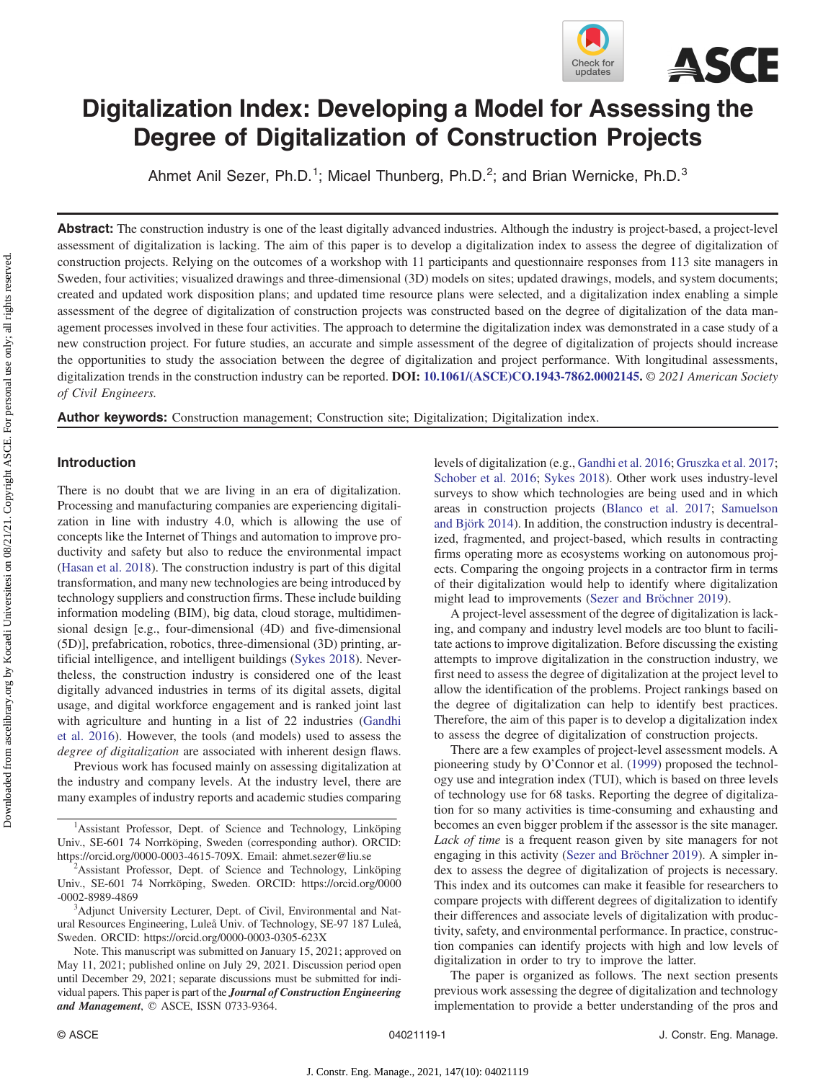

# Digitalization Index: Developing a Model for Assessing the Degree of Digitalization of Construction Projects

Ahmet Anil Sezer, Ph.D.<sup>1</sup>; Micael Thunberg, Ph.D.<sup>2</sup>; and Brian Wernicke, Ph.D.<sup>3</sup>

Abstract: The construction industry is one of the least digitally advanced industries. Although the industry is project-based, a project-level assessment of digitalization is lacking. The aim of this paper is to develop a digitalization index to assess the degree of digitalization of construction projects. Relying on the outcomes of a workshop with 11 participants and questionnaire responses from 113 site managers in Sweden, four activities; visualized drawings and three-dimensional (3D) models on sites; updated drawings, models, and system documents; created and updated work disposition plans; and updated time resource plans were selected, and a digitalization index enabling a simple assessment of the degree of digitalization of construction projects was constructed based on the degree of digitalization of the data management processes involved in these four activities. The approach to determine the digitalization index was demonstrated in a case study of a new construction project. For future studies, an accurate and simple assessment of the degree of digitalization of projects should increase the opportunities to study the association between the degree of digitalization and project performance. With longitudinal assessments, digitalization trends in the construction industry can be reported. DOI: [10.1061/\(ASCE\)CO.1943-7862.0002145.](https://doi.org/10.1061/(ASCE)CO.1943-7862.0002145) © 2021 American Society of Civil Engineers.

Author keywords: Construction management; Construction site; Digitalization; Digitalization index.

# Introduction

There is no doubt that we are living in an era of digitalization. Processing and manufacturing companies are experiencing digitalization in line with industry 4.0, which is allowing the use of concepts like the Internet of Things and automation to improve productivity and safety but also to reduce the environmental impact [\(Hasan et al. 2018\)](#page-7-0). The construction industry is part of this digital transformation, and many new technologies are being introduced by technology suppliers and construction firms. These include building information modeling (BIM), big data, cloud storage, multidimensional design [e.g., four-dimensional (4D) and five-dimensional (5D)], prefabrication, robotics, three-dimensional (3D) printing, artificial intelligence, and intelligent buildings ([Sykes 2018](#page-8-0)). Nevertheless, the construction industry is considered one of the least digitally advanced industries in terms of its digital assets, digital usage, and digital workforce engagement and is ranked joint last with agriculture and hunting in a list of 22 industries [\(Gandhi](#page-7-0) [et al. 2016](#page-7-0)). However, the tools (and models) used to assess the degree of digitalization are associated with inherent design flaws.

Previous work has focused mainly on assessing digitalization at the industry and company levels. At the industry level, there are many examples of industry reports and academic studies comparing

<sup>1</sup>Assistant Professor, Dept. of Science and Technology, Linköping Univ., SE-601 74 Norrköping, Sweden (corresponding author). ORCID: <https://orcid.org/0000-0003-4615-709X>. Email: [ahmet.sezer@liu.se](mailto:ahmet.sezer@liu.se) <sup>2</sup>

<sup>2</sup>Assistant Professor, Dept. of Science and Technology, Linköping Univ., SE-601 74 Norrköping, Sweden. ORCID: [https://orcid.org/0000](https://orcid.org/0000-0002-8989-4869) [-0002-8989-4869](https://orcid.org/0000-0002-8989-4869)

<sup>3</sup>Adjunct University Lecturer, Dept. of Civil, Environmental and Natural Resources Engineering, Luleå Univ. of Technology, SE-97 187 Luleå, Sweden. ORCID:<https://orcid.org/0000-0003-0305-623X>

Note. This manuscript was submitted on January 15, 2021; approved on May 11, 2021; published online on July 29, 2021. Discussion period open until December 29, 2021; separate discussions must be submitted for individual papers. This paper is part of the Journal of Construction Engineering and Management, © ASCE, ISSN 0733-9364.

levels of digitalization (e.g., [Gandhi et al. 2016](#page-7-0); [Gruszka et al. 2017](#page-7-0); [Schober et al. 2016;](#page-8-0) [Sykes 2018](#page-8-0)). Other work uses industry-level surveys to show which technologies are being used and in which areas in construction projects [\(Blanco et al. 2017;](#page-7-0) [Samuelson](#page-8-0) [and Björk 2014](#page-8-0)). In addition, the construction industry is decentralized, fragmented, and project-based, which results in contracting firms operating more as ecosystems working on autonomous projects. Comparing the ongoing projects in a contractor firm in terms of their digitalization would help to identify where digitalization might lead to improvements [\(Sezer and Bröchner 2019](#page-8-0)).

A project-level assessment of the degree of digitalization is lacking, and company and industry level models are too blunt to facilitate actions to improve digitalization. Before discussing the existing attempts to improve digitalization in the construction industry, we first need to assess the degree of digitalization at the project level to allow the identification of the problems. Project rankings based on the degree of digitalization can help to identify best practices. Therefore, the aim of this paper is to develop a digitalization index to assess the degree of digitalization of construction projects.

There are a few examples of project-level assessment models. A pioneering study by O'Connor et al. ([1999\)](#page-8-0) proposed the technology use and integration index (TUI), which is based on three levels of technology use for 68 tasks. Reporting the degree of digitalization for so many activities is time-consuming and exhausting and becomes an even bigger problem if the assessor is the site manager. Lack of time is a frequent reason given by site managers for not engaging in this activity ([Sezer and Bröchner 2019](#page-8-0)). A simpler index to assess the degree of digitalization of projects is necessary. This index and its outcomes can make it feasible for researchers to compare projects with different degrees of digitalization to identify their differences and associate levels of digitalization with productivity, safety, and environmental performance. In practice, construction companies can identify projects with high and low levels of digitalization in order to try to improve the latter.

The paper is organized as follows. The next section presents previous work assessing the degree of digitalization and technology implementation to provide a better understanding of the pros and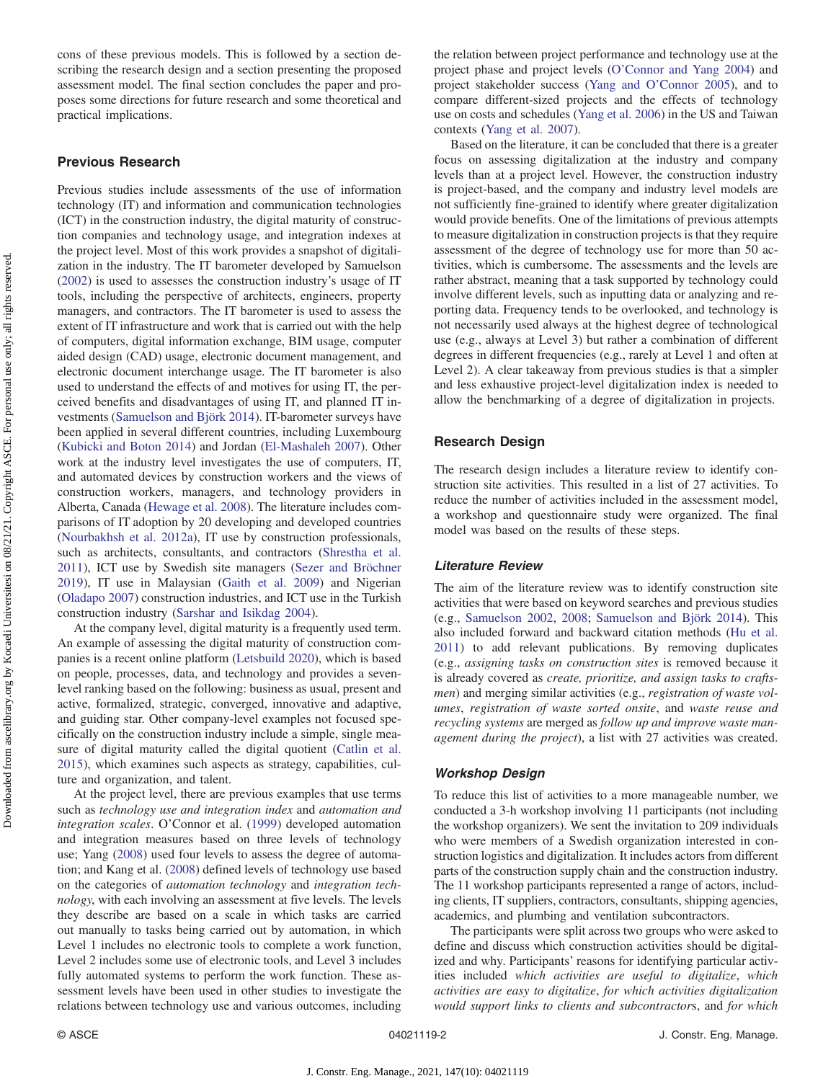cons of these previous models. This is followed by a section describing the research design and a section presenting the proposed assessment model. The final section concludes the paper and proposes some directions for future research and some theoretical and practical implications.

# Previous Research

Previous studies include assessments of the use of information technology (IT) and information and communication technologies (ICT) in the construction industry, the digital maturity of construction companies and technology usage, and integration indexes at the project level. Most of this work provides a snapshot of digitalization in the industry. The IT barometer developed by Samuelson [\(2002](#page-8-0)) is used to assesses the construction industry's usage of IT tools, including the perspective of architects, engineers, property managers, and contractors. The IT barometer is used to assess the extent of IT infrastructure and work that is carried out with the help of computers, digital information exchange, BIM usage, computer aided design (CAD) usage, electronic document management, and electronic document interchange usage. The IT barometer is also used to understand the effects of and motives for using IT, the perceived benefits and disadvantages of using IT, and planned IT investments ([Samuelson and Björk 2014\)](#page-8-0). IT-barometer surveys have been applied in several different countries, including Luxembourg [\(Kubicki and Boton 2014](#page-8-0)) and Jordan [\(El-Mashaleh 2007](#page-7-0)). Other work at the industry level investigates the use of computers, IT, and automated devices by construction workers and the views of construction workers, managers, and technology providers in Alberta, Canada [\(Hewage et al. 2008\)](#page-7-0). The literature includes comparisons of IT adoption by 20 developing and developed countries [\(Nourbakhsh et al. 2012a](#page-8-0)), IT use by construction professionals, such as architects, consultants, and contractors ([Shrestha et al.](#page-8-0) [2011](#page-8-0)), ICT use by Swedish site managers [\(Sezer and Bröchner](#page-8-0) [2019](#page-8-0)), IT use in Malaysian ([Gaith et al. 2009](#page-7-0)) and Nigerian [\(Oladapo 2007](#page-8-0)) construction industries, and ICT use in the Turkish construction industry [\(Sarshar and Isikdag 2004\)](#page-8-0).

At the company level, digital maturity is a frequently used term. An example of assessing the digital maturity of construction companies is a recent online platform [\(Letsbuild 2020](#page-8-0)), which is based on people, processes, data, and technology and provides a sevenlevel ranking based on the following: business as usual, present and active, formalized, strategic, converged, innovative and adaptive, and guiding star. Other company-level examples not focused specifically on the construction industry include a simple, single measure of digital maturity called the digital quotient ([Catlin et al.](#page-7-0) [2015](#page-7-0)), which examines such aspects as strategy, capabilities, culture and organization, and talent.

At the project level, there are previous examples that use terms such as technology use and integration index and automation and integration scales. O'Connor et al. ([1999](#page-8-0)) developed automation and integration measures based on three levels of technology use; Yang ([2008\)](#page-8-0) used four levels to assess the degree of automation; and Kang et al. [\(2008](#page-7-0)) defined levels of technology use based on the categories of automation technology and integration technology, with each involving an assessment at five levels. The levels they describe are based on a scale in which tasks are carried out manually to tasks being carried out by automation, in which Level 1 includes no electronic tools to complete a work function, Level 2 includes some use of electronic tools, and Level 3 includes fully automated systems to perform the work function. These assessment levels have been used in other studies to investigate the relations between technology use and various outcomes, including the relation between project performance and technology use at the project phase and project levels (O'[Connor and Yang 2004\)](#page-8-0) and project stakeholder success (Yang and O'[Connor 2005](#page-8-0)), and to compare different-sized projects and the effects of technology use on costs and schedules [\(Yang et al. 2006](#page-8-0)) in the US and Taiwan contexts ([Yang et al. 2007](#page-8-0)).

Based on the literature, it can be concluded that there is a greater focus on assessing digitalization at the industry and company levels than at a project level. However, the construction industry is project-based, and the company and industry level models are not sufficiently fine-grained to identify where greater digitalization would provide benefits. One of the limitations of previous attempts to measure digitalization in construction projects is that they require assessment of the degree of technology use for more than 50 activities, which is cumbersome. The assessments and the levels are rather abstract, meaning that a task supported by technology could involve different levels, such as inputting data or analyzing and reporting data. Frequency tends to be overlooked, and technology is not necessarily used always at the highest degree of technological use (e.g., always at Level 3) but rather a combination of different degrees in different frequencies (e.g., rarely at Level 1 and often at Level 2). A clear takeaway from previous studies is that a simpler and less exhaustive project-level digitalization index is needed to allow the benchmarking of a degree of digitalization in projects.

# Research Design

The research design includes a literature review to identify construction site activities. This resulted in a list of 27 activities. To reduce the number of activities included in the assessment model, a workshop and questionnaire study were organized. The final model was based on the results of these steps.

#### Literature Review

The aim of the literature review was to identify construction site activities that were based on keyword searches and previous studies (e.g., [Samuelson 2002](#page-8-0), [2008](#page-8-0); [Samuelson and Björk 2014](#page-8-0)). This also included forward and backward citation methods [\(Hu et al.](#page-7-0) [2011](#page-7-0)) to add relevant publications. By removing duplicates (e.g., assigning tasks on construction sites is removed because it is already covered as create, prioritize, and assign tasks to craftsmen) and merging similar activities (e.g., registration of waste volumes, registration of waste sorted onsite, and waste reuse and recycling systems are merged as follow up and improve waste management during the project), a list with 27 activities was created.

## Workshop Design

To reduce this list of activities to a more manageable number, we conducted a 3-h workshop involving 11 participants (not including the workshop organizers). We sent the invitation to 209 individuals who were members of a Swedish organization interested in construction logistics and digitalization. It includes actors from different parts of the construction supply chain and the construction industry. The 11 workshop participants represented a range of actors, including clients, IT suppliers, contractors, consultants, shipping agencies, academics, and plumbing and ventilation subcontractors.

The participants were split across two groups who were asked to define and discuss which construction activities should be digitalized and why. Participants' reasons for identifying particular activities included which activities are useful to digitalize, which activities are easy to digitalize, for which activities digitalization would support links to clients and subcontractors, and for which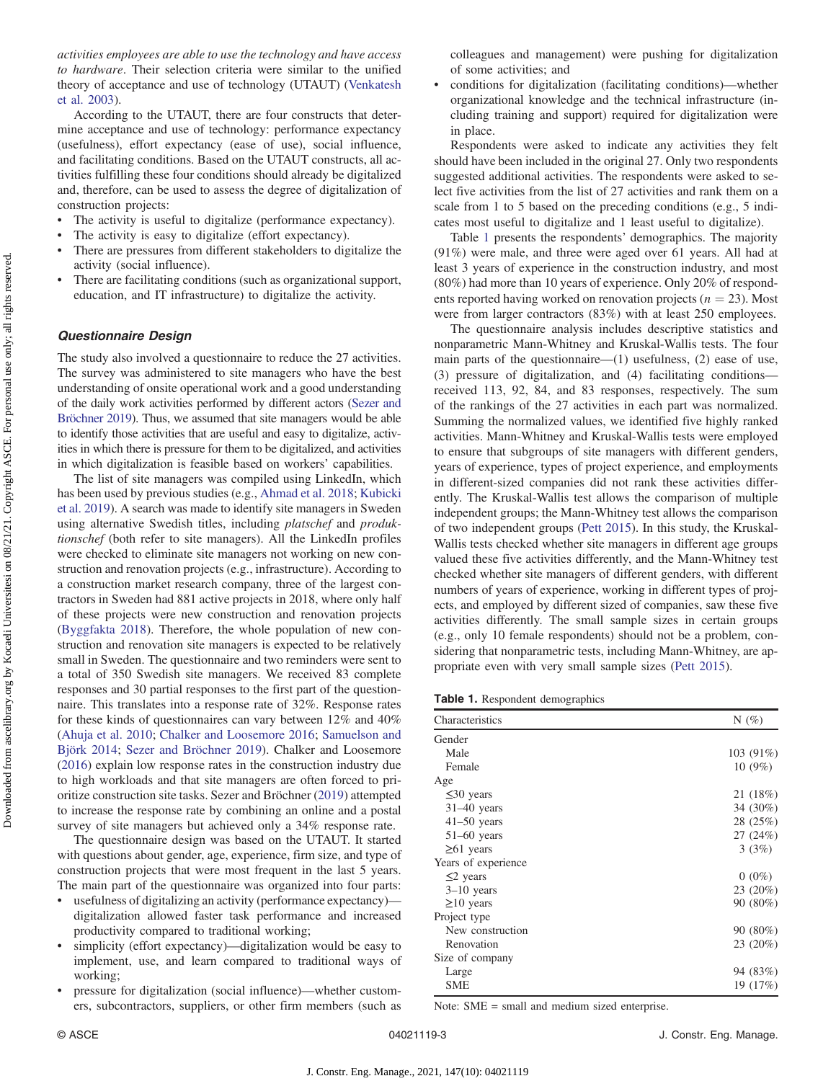activities employees are able to use the technology and have access to hardware. Their selection criteria were similar to the unified theory of acceptance and use of technology (UTAUT) [\(Venkatesh](#page-8-0) [et al. 2003\)](#page-8-0).

According to the UTAUT, there are four constructs that determine acceptance and use of technology: performance expectancy (usefulness), effort expectancy (ease of use), social influence, and facilitating conditions. Based on the UTAUT constructs, all activities fulfilling these four conditions should already be digitalized and, therefore, can be used to assess the degree of digitalization of construction projects:

- The activity is useful to digitalize (performance expectancy).
- The activity is easy to digitalize (effort expectancy).
- There are pressures from different stakeholders to digitalize the activity (social influence).
- There are facilitating conditions (such as organizational support, education, and IT infrastructure) to digitalize the activity.

## Questionnaire Design

The study also involved a questionnaire to reduce the 27 activities. The survey was administered to site managers who have the best understanding of onsite operational work and a good understanding of the daily work activities performed by different actors ([Sezer and](#page-8-0) [Bröchner 2019](#page-8-0)). Thus, we assumed that site managers would be able to identify those activities that are useful and easy to digitalize, activities in which there is pressure for them to be digitalized, and activities in which digitalization is feasible based on workers' capabilities.

The list of site managers was compiled using LinkedIn, which has been used by previous studies (e.g., [Ahmad et al. 2018](#page-7-0); [Kubicki](#page-8-0) [et al. 2019\)](#page-8-0). A search was made to identify site managers in Sweden using alternative Swedish titles, including platschef and produktionschef (both refer to site managers). All the LinkedIn profiles were checked to eliminate site managers not working on new construction and renovation projects (e.g., infrastructure). According to a construction market research company, three of the largest contractors in Sweden had 881 active projects in 2018, where only half of these projects were new construction and renovation projects [\(Byggfakta 2018](#page-7-0)). Therefore, the whole population of new construction and renovation site managers is expected to be relatively small in Sweden. The questionnaire and two reminders were sent to a total of 350 Swedish site managers. We received 83 complete responses and 30 partial responses to the first part of the questionnaire. This translates into a response rate of 32%. Response rates for these kinds of questionnaires can vary between 12% and 40% [\(Ahuja et al. 2010;](#page-7-0) [Chalker and Loosemore 2016;](#page-7-0) [Samuelson and](#page-8-0) [Björk 2014](#page-8-0); [Sezer and Bröchner 2019\)](#page-8-0). Chalker and Loosemore [\(2016](#page-7-0)) explain low response rates in the construction industry due to high workloads and that site managers are often forced to prioritize construction site tasks. Sezer and Bröchner ([2019\)](#page-8-0) attempted to increase the response rate by combining an online and a postal survey of site managers but achieved only a 34% response rate.

The questionnaire design was based on the UTAUT. It started with questions about gender, age, experience, firm size, and type of construction projects that were most frequent in the last 5 years. The main part of the questionnaire was organized into four parts:

- usefulness of digitalizing an activity (performance expectancy) digitalization allowed faster task performance and increased productivity compared to traditional working;
- simplicity (effort expectancy)—digitalization would be easy to implement, use, and learn compared to traditional ways of working;
- pressure for digitalization (social influence)—whether customers, subcontractors, suppliers, or other firm members (such as

colleagues and management) were pushing for digitalization of some activities; and

• conditions for digitalization (facilitating conditions)—whether organizational knowledge and the technical infrastructure (including training and support) required for digitalization were in place.

Respondents were asked to indicate any activities they felt should have been included in the original 27. Only two respondents suggested additional activities. The respondents were asked to select five activities from the list of 27 activities and rank them on a scale from 1 to 5 based on the preceding conditions (e.g., 5 indicates most useful to digitalize and 1 least useful to digitalize).

Table 1 presents the respondents' demographics. The majority (91%) were male, and three were aged over 61 years. All had at least 3 years of experience in the construction industry, and most (80%) had more than 10 years of experience. Only 20% of respondents reported having worked on renovation projects ( $n = 23$ ). Most were from larger contractors (83%) with at least 250 employees.

The questionnaire analysis includes descriptive statistics and nonparametric Mann-Whitney and Kruskal-Wallis tests. The four main parts of the questionnaire—(1) usefulness, (2) ease of use, (3) pressure of digitalization, and (4) facilitating conditions received 113, 92, 84, and 83 responses, respectively. The sum of the rankings of the 27 activities in each part was normalized. Summing the normalized values, we identified five highly ranked activities. Mann-Whitney and Kruskal-Wallis tests were employed to ensure that subgroups of site managers with different genders, years of experience, types of project experience, and employments in different-sized companies did not rank these activities differently. The Kruskal-Wallis test allows the comparison of multiple independent groups; the Mann-Whitney test allows the comparison of two independent groups [\(Pett 2015\)](#page-8-0). In this study, the Kruskal-Wallis tests checked whether site managers in different age groups valued these five activities differently, and the Mann-Whitney test checked whether site managers of different genders, with different numbers of years of experience, working in different types of projects, and employed by different sized of companies, saw these five activities differently. The small sample sizes in certain groups (e.g., only 10 female respondents) should not be a problem, considering that nonparametric tests, including Mann-Whitney, are appropriate even with very small sample sizes [\(Pett 2015](#page-8-0)).

Table 1. Respondent demographics

| Characteristics     | $N(\%)$     |
|---------------------|-------------|
| Gender              |             |
| Male                | $103(91\%)$ |
| Female              | $10(9\%)$   |
| Age                 |             |
| $\leq 30$ years     | 21 (18%)    |
| $31-40$ years       | 34 (30%)    |
| $41-50$ years       | 28 (25%)    |
| $51-60$ years       | 27 (24%)    |
| $\geq 61$ years     | 3(3%)       |
| Years of experience |             |
| $\leq$ years        | $0(0\%)$    |
| $3-10$ years        | 23 (20%)    |
| $\geq$ 10 years     | 90 (80%)    |
| Project type        |             |
| New construction    | 90 (80%)    |
| Renovation          | 23 (20%)    |
| Size of company     |             |
| Large               | 94 (83%)    |
| <b>SME</b>          | 19 (17%)    |

Note: SME = small and medium sized enterprise.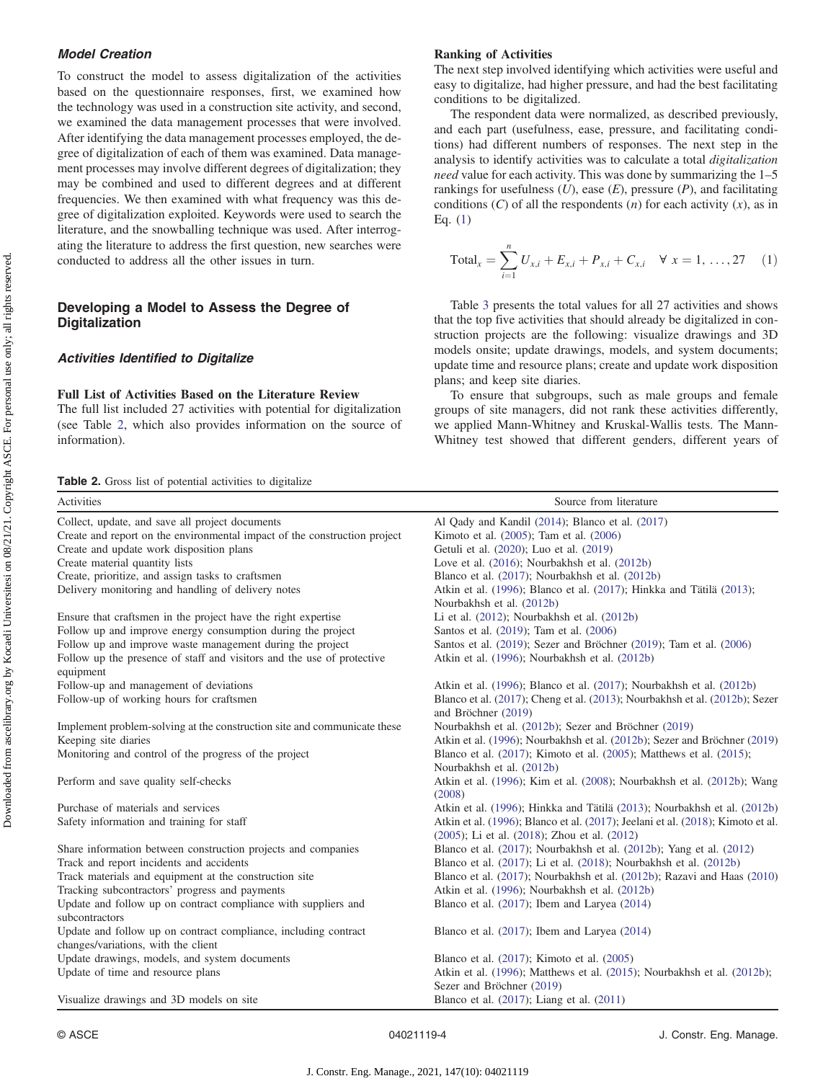# Model Creation

To construct the model to assess digitalization of the activities based on the questionnaire responses, first, we examined how the technology was used in a construction site activity, and second, we examined the data management processes that were involved. After identifying the data management processes employed, the degree of digitalization of each of them was examined. Data management processes may involve different degrees of digitalization; they may be combined and used to different degrees and at different frequencies. We then examined with what frequency was this degree of digitalization exploited. Keywords were used to search the literature, and the snowballing technique was used. After interrogating the literature to address the first question, new searches were conducted to address all the other issues in turn.

# Developing a Model to Assess the Degree of Digitalization

# Activities Identified to Digitalize

#### Full List of Activities Based on the Literature Review

The full list included 27 activities with potential for digitalization (see Table 2, which also provides information on the source of information).

Table 2. Gross list of potential activities to digitalize

# Ranking of Activities

The next step involved identifying which activities were useful and easy to digitalize, had higher pressure, and had the best facilitating conditions to be digitalized.

The respondent data were normalized, as described previously, and each part (usefulness, ease, pressure, and facilitating conditions) had different numbers of responses. The next step in the analysis to identify activities was to calculate a total digitalization need value for each activity. This was done by summarizing the 1–5 rankings for usefulness  $(U)$ , ease  $(E)$ , pressure  $(P)$ , and facilitating conditions  $(C)$  of all the respondents  $(n)$  for each activity  $(x)$ , as in Eq. (1)

$$
Total_x = \sum_{i=1}^{n} U_{x,i} + E_{x,i} + P_{x,i} + C_{x,i} \quad \forall \ x = 1, ..., 27 \quad (1)
$$

Table [3](#page-4-0) presents the total values for all 27 activities and shows that the top five activities that should already be digitalized in construction projects are the following: visualize drawings and 3D models onsite; update drawings, models, and system documents; update time and resource plans; create and update work disposition plans; and keep site diaries.

To ensure that subgroups, such as male groups and female groups of site managers, did not rank these activities differently, we applied Mann-Whitney and Kruskal-Wallis tests. The Mann-Whitney test showed that different genders, different years of

| Activities                                                                                             | Source from literature                                                                                                          |
|--------------------------------------------------------------------------------------------------------|---------------------------------------------------------------------------------------------------------------------------------|
| Collect, update, and save all project documents                                                        | Al Qady and Kandil (2014); Blanco et al. (2017)                                                                                 |
| Create and report on the environmental impact of the construction project                              | Kimoto et al. (2005); Tam et al. (2006)                                                                                         |
| Create and update work disposition plans                                                               | Getuli et al. (2020); Luo et al. (2019)                                                                                         |
| Create material quantity lists                                                                         | Love et al. (2016); Nourbakhsh et al. (2012b)                                                                                   |
| Create, prioritize, and assign tasks to craftsmen                                                      | Blanco et al. (2017); Nourbakhsh et al. (2012b)                                                                                 |
| Delivery monitoring and handling of delivery notes                                                     | Atkin et al. (1996); Blanco et al. (2017); Hinkka and Tätilä (2013);<br>Nourbakhsh et al. (2012b)                               |
| Ensure that craftsmen in the project have the right expertise                                          | Li et al. $(2012)$ ; Nourbakhsh et al. $(2012b)$                                                                                |
| Follow up and improve energy consumption during the project                                            | Santos et al. (2019); Tam et al. (2006)                                                                                         |
| Follow up and improve waste management during the project                                              | Santos et al. (2019); Sezer and Bröchner (2019); Tam et al. (2006)                                                              |
| Follow up the presence of staff and visitors and the use of protective<br>equipment                    | Atkin et al. (1996); Nourbakhsh et al. (2012b)                                                                                  |
| Follow-up and management of deviations                                                                 | Atkin et al. (1996); Blanco et al. (2017); Nourbakhsh et al. (2012b)                                                            |
| Follow-up of working hours for craftsmen                                                               | Blanco et al. (2017); Cheng et al. (2013); Nourbakhsh et al. (2012b); Sezer<br>and Bröchner (2019)                              |
| Implement problem-solving at the construction site and communicate these                               | Nourbakhsh et al. (2012b); Sezer and Bröchner (2019)                                                                            |
| Keeping site diaries                                                                                   | Atkin et al. (1996); Nourbakhsh et al. (2012b); Sezer and Bröchner (2019)                                                       |
| Monitoring and control of the progress of the project                                                  | Blanco et al. $(2017)$ ; Kimoto et al. $(2005)$ ; Matthews et al. $(2015)$ ;<br>Nourbakhsh et al. (2012b)                       |
| Perform and save quality self-checks                                                                   | Atkin et al. (1996); Kim et al. (2008); Nourbakhsh et al. (2012b); Wang<br>(2008)                                               |
| Purchase of materials and services                                                                     | Atkin et al. (1996); Hinkka and Tätilä (2013); Nourbakhsh et al. (2012b)                                                        |
| Safety information and training for staff                                                              | Atkin et al. (1996); Blanco et al. (2017); Jeelani et al. (2018); Kimoto et al.<br>(2005); Li et al. (2018); Zhou et al. (2012) |
| Share information between construction projects and companies                                          | Blanco et al. (2017); Nourbakhsh et al. (2012b); Yang et al. (2012)                                                             |
| Track and report incidents and accidents                                                               | Blanco et al. (2017); Li et al. (2018); Nourbakhsh et al. (2012b)                                                               |
| Track materials and equipment at the construction site                                                 | Blanco et al. (2017); Nourbakhsh et al. (2012b); Razavi and Haas (2010)                                                         |
| Tracking subcontractors' progress and payments                                                         | Atkin et al. (1996); Nourbakhsh et al. (2012b)                                                                                  |
| Update and follow up on contract compliance with suppliers and<br>subcontractors                       | Blanco et al. (2017); Ibem and Laryea (2014)                                                                                    |
| Update and follow up on contract compliance, including contract<br>changes/variations, with the client | Blanco et al. $(2017)$ ; Ibem and Laryea $(2014)$                                                                               |
| Update drawings, models, and system documents                                                          | Blanco et al. (2017); Kimoto et al. (2005)                                                                                      |
| Update of time and resource plans                                                                      | Atkin et al. (1996); Matthews et al. (2015); Nourbakhsh et al. (2012b);<br>Sezer and Bröchner (2019)                            |
| Visualize drawings and 3D models on site                                                               | Blanco et al. $(2017)$ ; Liang et al. $(2011)$                                                                                  |

J. Constr. Eng. Manage., 2021, 147(10): 04021119

Downloaded from ascelibrary.org by Kocaeli Universitesi on 08/21/21. Copyright ASCE. For personal use only; all rights reserved. Downloaded from ascelibrary.org by Kocaeli Universitesi on 08/21/21. Copyright ASCE. For personal use only; all rights reserved.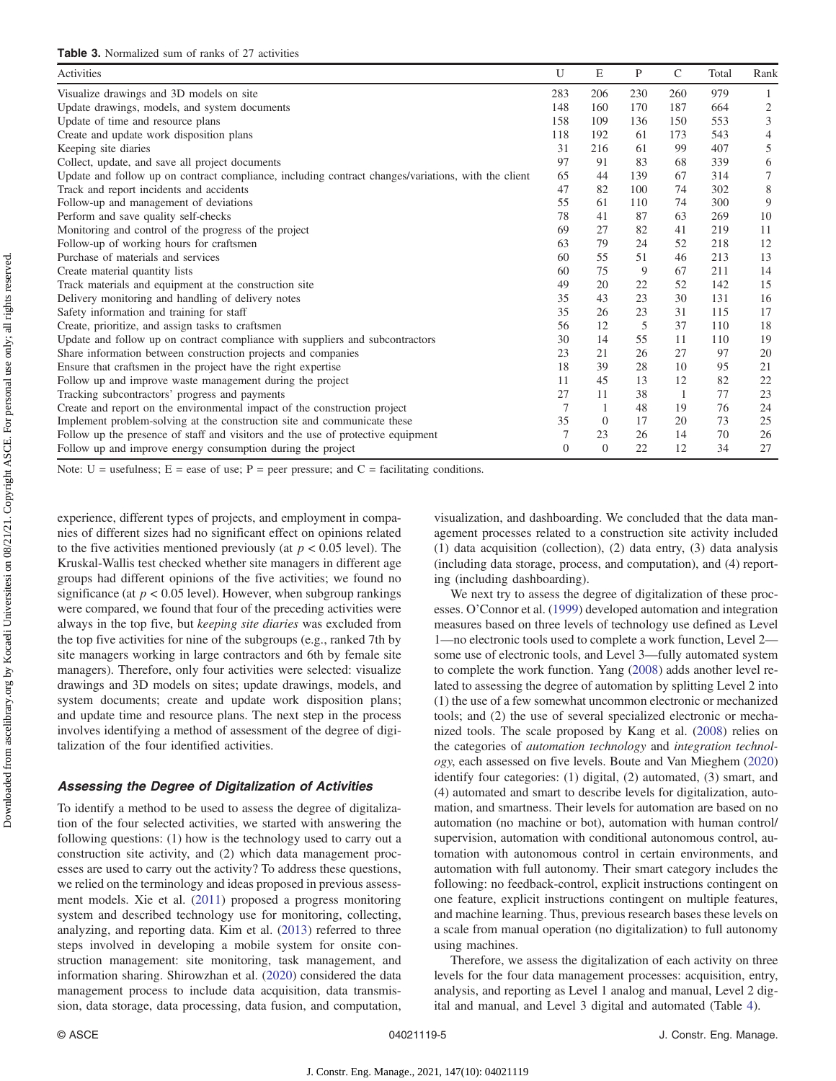<span id="page-4-0"></span>

| Activities                                                                                          | U              | E        | P   | $\mathsf{C}$ | Total | Rank |
|-----------------------------------------------------------------------------------------------------|----------------|----------|-----|--------------|-------|------|
| Visualize drawings and 3D models on site                                                            | 283            | 206      | 230 | 260          | 979   |      |
| Update drawings, models, and system documents                                                       | 148            | 160      | 170 | 187          | 664   | 2    |
| Update of time and resource plans                                                                   | 158            | 109      | 136 | 150          | 553   | 3    |
| Create and update work disposition plans                                                            | 118            | 192      | 61  | 173          | 543   | 4    |
| Keeping site diaries                                                                                | 31             | 216      | 61  | 99           | 407   | 5    |
| Collect, update, and save all project documents                                                     | 97             | 91       | 83  | 68           | 339   | 6    |
| Update and follow up on contract compliance, including contract changes/variations, with the client | 65             | 44       | 139 | 67           | 314   | 7    |
| Track and report incidents and accidents                                                            | 47             | 82       | 100 | 74           | 302   | 8    |
| Follow-up and management of deviations                                                              | 55             | 61       | 110 | 74           | 300   | 9    |
| Perform and save quality self-checks                                                                | 78             | 41       | 87  | 63           | 269   | 10   |
| Monitoring and control of the progress of the project                                               | 69             | 27       | 82  | 41           | 219   | 11   |
| Follow-up of working hours for craftsmen                                                            | 63             | 79       | 24  | 52           | 218   | 12   |
| Purchase of materials and services                                                                  | 60             | 55       | 51  | 46           | 213   | 13   |
| Create material quantity lists                                                                      | 60             | 75       | 9   | 67           | 211   | 14   |
| Track materials and equipment at the construction site                                              | 49             | 20       | 22  | 52           | 142   | 15   |
| Delivery monitoring and handling of delivery notes                                                  | 35             | 43       | 23  | 30           | 131   | 16   |
| Safety information and training for staff                                                           | 35             | 26       | 23  | 31           | 115   | 17   |
| Create, prioritize, and assign tasks to craftsmen                                                   | 56             | 12       | 5   | 37           | 110   | 18   |
| Update and follow up on contract compliance with suppliers and subcontractors                       | 30             | 14       | 55  | 11           | 110   | 19   |
| Share information between construction projects and companies                                       | 23             | 21       | 26  | 27           | 97    | 20   |
| Ensure that craftsmen in the project have the right expertise                                       | 18             | 39       | 28  | 10           | 95    | 21   |
| Follow up and improve waste management during the project                                           | 11             | 45       | 13  | 12           | 82    | 22   |
| Tracking subcontractors' progress and payments                                                      | 27             | 11       | 38  |              | 77    | 23   |
| Create and report on the environmental impact of the construction project                           | $\overline{7}$ | 1        | 48  | 19           | 76    | 24   |
| Implement problem-solving at the construction site and communicate these                            | 35             | $\theta$ | 17  | 20           | 73    | 25   |
| Follow up the presence of staff and visitors and the use of protective equipment                    | 7              | 23       | 26  | 14           | 70    | 26   |
| Follow up and improve energy consumption during the project                                         | $\Omega$       | $\theta$ | 22  | 12           | 34    | 27   |

Note:  $U =$  usefulness;  $E =$  ease of use;  $P =$  peer pressure; and  $C =$  facilitating conditions.

experience, different types of projects, and employment in companies of different sizes had no significant effect on opinions related to the five activities mentioned previously (at  $p < 0.05$  level). The Kruskal-Wallis test checked whether site managers in different age groups had different opinions of the five activities; we found no significance (at  $p < 0.05$  level). However, when subgroup rankings were compared, we found that four of the preceding activities were always in the top five, but keeping site diaries was excluded from the top five activities for nine of the subgroups (e.g., ranked 7th by site managers working in large contractors and 6th by female site managers). Therefore, only four activities were selected: visualize drawings and 3D models on sites; update drawings, models, and system documents; create and update work disposition plans; and update time and resource plans. The next step in the process involves identifying a method of assessment of the degree of digitalization of the four identified activities.

### Assessing the Degree of Digitalization of Activities

To identify a method to be used to assess the degree of digitalization of the four selected activities, we started with answering the following questions: (1) how is the technology used to carry out a construction site activity, and (2) which data management processes are used to carry out the activity? To address these questions, we relied on the terminology and ideas proposed in previous assessment models. Xie et al. [\(2011](#page-8-0)) proposed a progress monitoring system and described technology use for monitoring, collecting, analyzing, and reporting data. Kim et al. [\(2013](#page-8-0)) referred to three steps involved in developing a mobile system for onsite construction management: site monitoring, task management, and information sharing. Shirowzhan et al. [\(2020](#page-8-0)) considered the data management process to include data acquisition, data transmission, data storage, data processing, data fusion, and computation, visualization, and dashboarding. We concluded that the data management processes related to a construction site activity included (1) data acquisition (collection), (2) data entry, (3) data analysis (including data storage, process, and computation), and (4) reporting (including dashboarding).

We next try to assess the degree of digitalization of these processes. O'Connor et al. ([1999\)](#page-8-0) developed automation and integration measures based on three levels of technology use defined as Level 1—no electronic tools used to complete a work function, Level 2 some use of electronic tools, and Level 3—fully automated system to complete the work function. Yang [\(2008](#page-8-0)) adds another level related to assessing the degree of automation by splitting Level 2 into (1) the use of a few somewhat uncommon electronic or mechanized tools; and (2) the use of several specialized electronic or mechanized tools. The scale proposed by Kang et al. ([2008\)](#page-7-0) relies on the categories of automation technology and integration technology, each assessed on five levels. Boute and Van Mieghem ([2020\)](#page-7-0) identify four categories: (1) digital, (2) automated, (3) smart, and (4) automated and smart to describe levels for digitalization, automation, and smartness. Their levels for automation are based on no automation (no machine or bot), automation with human control/ supervision, automation with conditional autonomous control, automation with autonomous control in certain environments, and automation with full autonomy. Their smart category includes the following: no feedback-control, explicit instructions contingent on one feature, explicit instructions contingent on multiple features, and machine learning. Thus, previous research bases these levels on a scale from manual operation (no digitalization) to full autonomy using machines.

Therefore, we assess the digitalization of each activity on three levels for the four data management processes: acquisition, entry, analysis, and reporting as Level 1 analog and manual, Level 2 digital and manual, and Level 3 digital and automated (Table [4\)](#page-5-0).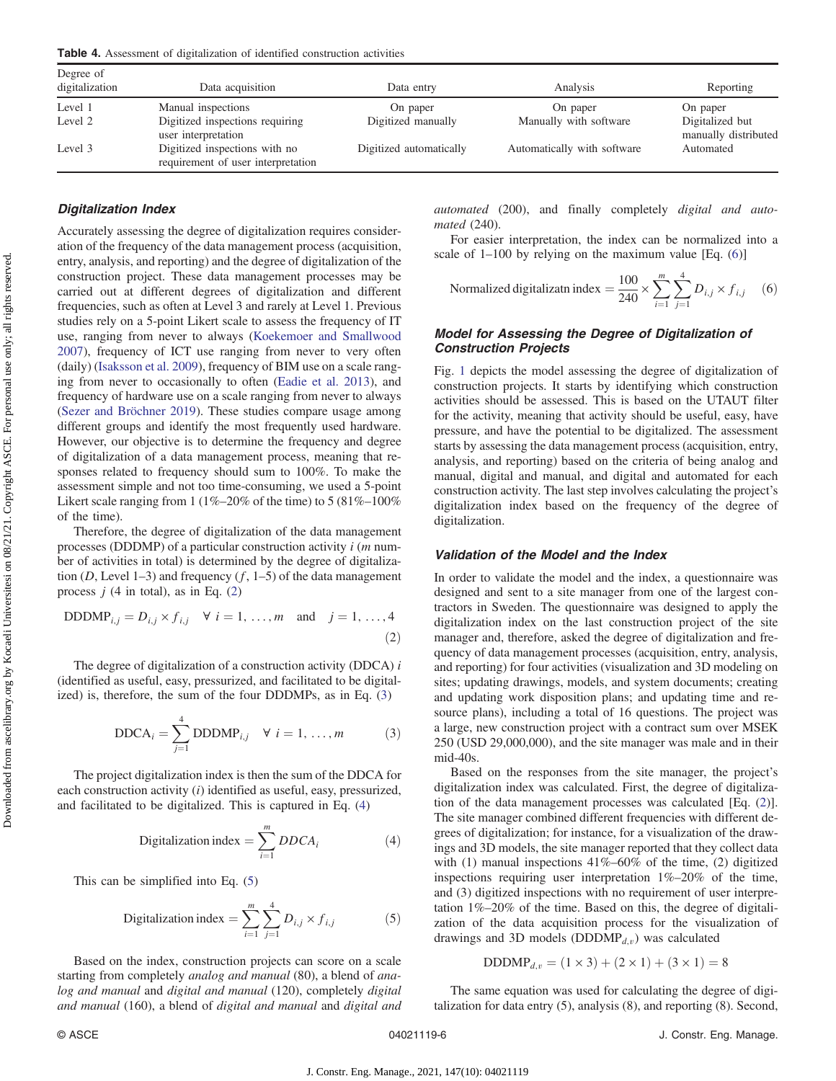<span id="page-5-0"></span>Table 4. Assessment of digitalization of identified construction activities

| Degree of<br>digitalization | Data acquisition                                                    | Data entry              | Analysis                    | Reporting                               |
|-----------------------------|---------------------------------------------------------------------|-------------------------|-----------------------------|-----------------------------------------|
|                             |                                                                     |                         |                             |                                         |
| Level 1                     | Manual inspections                                                  | On paper                | On paper                    | On paper                                |
| Level 2                     | Digitized inspections requiring<br>user interpretation              | Digitized manually      | Manually with software      | Digitalized but<br>manually distributed |
| Level 3                     | Digitized inspections with no<br>requirement of user interpretation | Digitized automatically | Automatically with software | Automated                               |

# Digitalization Index

Accurately assessing the degree of digitalization requires consideration of the frequency of the data management process (acquisition, entry, analysis, and reporting) and the degree of digitalization of the construction project. These data management processes may be carried out at different degrees of digitalization and different frequencies, such as often at Level 3 and rarely at Level 1. Previous studies rely on a 5-point Likert scale to assess the frequency of IT use, ranging from never to always ([Koekemoer and Smallwood](#page-8-0) [2007](#page-8-0)), frequency of ICT use ranging from never to very often (daily) ([Isaksson et al. 2009](#page-7-0)), frequency of BIM use on a scale ranging from never to occasionally to often ([Eadie et al. 2013](#page-7-0)), and frequency of hardware use on a scale ranging from never to always [\(Sezer and Bröchner 2019\)](#page-8-0). These studies compare usage among different groups and identify the most frequently used hardware. However, our objective is to determine the frequency and degree of digitalization of a data management process, meaning that responses related to frequency should sum to 100%. To make the assessment simple and not too time-consuming, we used a 5-point Likert scale ranging from 1 (1%–20% of the time) to 5 (81%–100% of the time).

Therefore, the degree of digitalization of the data management processes (DDDMP) of a particular construction activity  $i$  ( $m$  number of activities in total) is determined by the degree of digitalization (D, Level 1–3) and frequency  $(f, 1-5)$  of the data management process  $j$  (4 in total), as in Eq. (2)

DDDMP<sub>i,j</sub> = 
$$
D_{i,j} \times f_{i,j} \quad \forall \ i = 1, ..., m \text{ and } j = 1, ..., 4
$$
 (2)

The degree of digitalization of a construction activity (DDCA)  $i$ (identified as useful, easy, pressurized, and facilitated to be digitalized) is, therefore, the sum of the four DDDMPs, as in Eq. (3)

$$
DDCAi = \sum_{j=1}^{4} DDDMPi,j \quad \forall \ i = 1, ..., m
$$
 (3)

The project digitalization index is then the sum of the DDCA for each construction activity (i) identified as useful, easy, pressurized, and facilitated to be digitalized. This is captured in Eq. (4)

$$
\text{Digitalization index} = \sum_{i=1}^{m} DDCA_i \tag{4}
$$

This can be simplified into Eq. (5)

Digitalization index 
$$
=\sum_{i=1}^{m}\sum_{j=1}^{4}D_{i,j}\times f_{i,j}
$$
 (5)

Based on the index, construction projects can score on a scale starting from completely analog and manual (80), a blend of analog and manual and digital and manual (120), completely digital and manual (160), a blend of digital and manual and digital and automated (200), and finally completely digital and automated (240).

For easier interpretation, the index can be normalized into a scale of 1–100 by relying on the maximum value [Eq. (6)]

$$
\text{Normalized digitalization index} = \frac{100}{240} \times \sum_{i=1}^{m} \sum_{j=1}^{4} D_{i,j} \times f_{i,j} \quad (6)
$$

# Model for Assessing the Degree of Digitalization of Construction Projects

Fig. [1](#page-6-0) depicts the model assessing the degree of digitalization of construction projects. It starts by identifying which construction activities should be assessed. This is based on the UTAUT filter for the activity, meaning that activity should be useful, easy, have pressure, and have the potential to be digitalized. The assessment starts by assessing the data management process (acquisition, entry, analysis, and reporting) based on the criteria of being analog and manual, digital and manual, and digital and automated for each construction activity. The last step involves calculating the project's digitalization index based on the frequency of the degree of digitalization.

## Validation of the Model and the Index

In order to validate the model and the index, a questionnaire was designed and sent to a site manager from one of the largest contractors in Sweden. The questionnaire was designed to apply the digitalization index on the last construction project of the site manager and, therefore, asked the degree of digitalization and frequency of data management processes (acquisition, entry, analysis, and reporting) for four activities (visualization and 3D modeling on sites; updating drawings, models, and system documents; creating and updating work disposition plans; and updating time and resource plans), including a total of 16 questions. The project was a large, new construction project with a contract sum over MSEK 250 (USD 29,000,000), and the site manager was male and in their mid-40s.

Based on the responses from the site manager, the project's digitalization index was calculated. First, the degree of digitalization of the data management processes was calculated [Eq. (2)]. The site manager combined different frequencies with different degrees of digitalization; for instance, for a visualization of the drawings and 3D models, the site manager reported that they collect data with (1) manual inspections  $41\% - 60\%$  of the time, (2) digitized inspections requiring user interpretation 1%–20% of the time, and (3) digitized inspections with no requirement of user interpretation 1%–20% of the time. Based on this, the degree of digitalization of the data acquisition process for the visualization of drawings and 3D models ( $DDDMP_{d,v}$ ) was calculated

$$
DDDMP_{d,v} = (1 \times 3) + (2 \times 1) + (3 \times 1) = 8
$$

The same equation was used for calculating the degree of digitalization for data entry (5), analysis (8), and reporting (8). Second,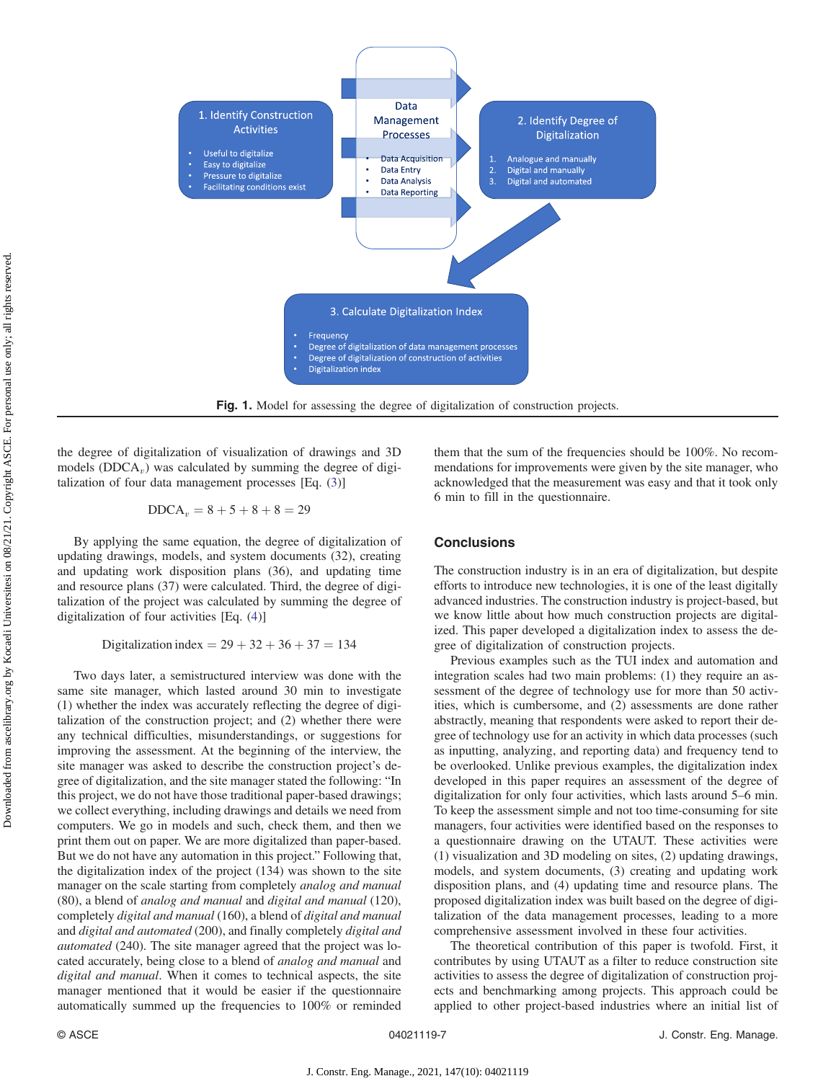<span id="page-6-0"></span>

the degree of digitalization of visualization of drawings and 3D models (DDCA<sub>v</sub>) was calculated by summing the degree of digitalization of four data management processes [Eq. [\(3](#page-5-0))]

$$
DDCA_v = 8 + 5 + 8 + 8 = 29
$$

By applying the same equation, the degree of digitalization of updating drawings, models, and system documents (32), creating and updating work disposition plans (36), and updating time and resource plans (37) were calculated. Third, the degree of digitalization of the project was calculated by summing the degree of digitalization of four activities [Eq. [\(4\)](#page-5-0)]

Digitalization index =  $29 + 32 + 36 + 37 = 134$ 

Two days later, a semistructured interview was done with the same site manager, which lasted around 30 min to investigate (1) whether the index was accurately reflecting the degree of digitalization of the construction project; and (2) whether there were any technical difficulties, misunderstandings, or suggestions for improving the assessment. At the beginning of the interview, the site manager was asked to describe the construction project's degree of digitalization, and the site manager stated the following: "In this project, we do not have those traditional paper-based drawings; we collect everything, including drawings and details we need from computers. We go in models and such, check them, and then we print them out on paper. We are more digitalized than paper-based. But we do not have any automation in this project." Following that, the digitalization index of the project (134) was shown to the site manager on the scale starting from completely analog and manual (80), a blend of analog and manual and digital and manual (120), completely digital and manual (160), a blend of digital and manual and digital and automated (200), and finally completely digital and automated (240). The site manager agreed that the project was located accurately, being close to a blend of analog and manual and digital and manual. When it comes to technical aspects, the site manager mentioned that it would be easier if the questionnaire automatically summed up the frequencies to 100% or reminded them that the sum of the frequencies should be 100%. No recommendations for improvements were given by the site manager, who acknowledged that the measurement was easy and that it took only 6 min to fill in the questionnaire.

# **Conclusions**

The construction industry is in an era of digitalization, but despite efforts to introduce new technologies, it is one of the least digitally advanced industries. The construction industry is project-based, but we know little about how much construction projects are digitalized. This paper developed a digitalization index to assess the degree of digitalization of construction projects.

Previous examples such as the TUI index and automation and integration scales had two main problems: (1) they require an assessment of the degree of technology use for more than 50 activities, which is cumbersome, and (2) assessments are done rather abstractly, meaning that respondents were asked to report their degree of technology use for an activity in which data processes (such as inputting, analyzing, and reporting data) and frequency tend to be overlooked. Unlike previous examples, the digitalization index developed in this paper requires an assessment of the degree of digitalization for only four activities, which lasts around 5–6 min. To keep the assessment simple and not too time-consuming for site managers, four activities were identified based on the responses to a questionnaire drawing on the UTAUT. These activities were (1) visualization and 3D modeling on sites, (2) updating drawings, models, and system documents, (3) creating and updating work disposition plans, and (4) updating time and resource plans. The proposed digitalization index was built based on the degree of digitalization of the data management processes, leading to a more comprehensive assessment involved in these four activities.

The theoretical contribution of this paper is twofold. First, it contributes by using UTAUT as a filter to reduce construction site activities to assess the degree of digitalization of construction projects and benchmarking among projects. This approach could be applied to other project-based industries where an initial list of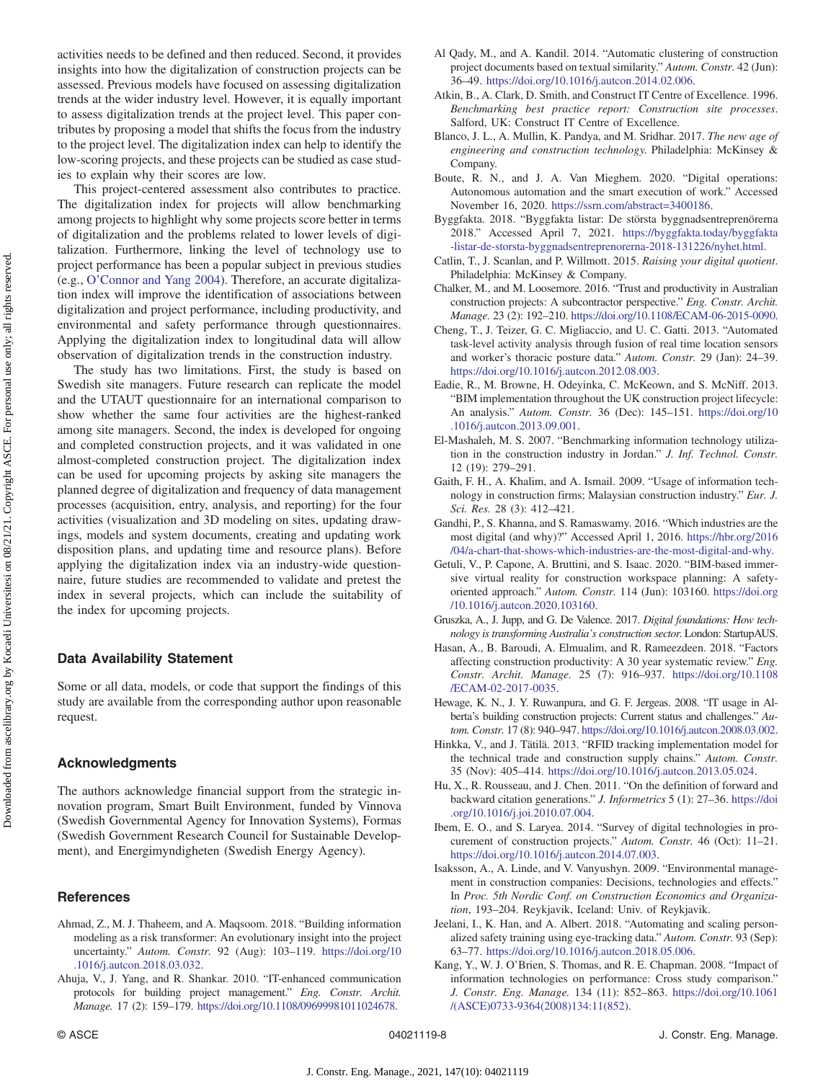<span id="page-7-0"></span>activities needs to be defined and then reduced. Second, it provides insights into how the digitalization of construction projects can be assessed. Previous models have focused on assessing digitalization trends at the wider industry level. However, it is equally important to assess digitalization trends at the project level. This paper contributes by proposing a model that shifts the focus from the industry to the project level. The digitalization index can help to identify the low-scoring projects, and these projects can be studied as case studies to explain why their scores are low.

This project-centered assessment also contributes to practice. The digitalization index for projects will allow benchmarking among projects to highlight why some projects score better in terms of digitalization and the problems related to lower levels of digitalization. Furthermore, linking the level of technology use to project performance has been a popular subject in previous studies (e.g., O'[Connor and Yang 2004\)](#page-8-0). Therefore, an accurate digitalization index will improve the identification of associations between digitalization and project performance, including productivity, and environmental and safety performance through questionnaires. Applying the digitalization index to longitudinal data will allow observation of digitalization trends in the construction industry.

The study has two limitations. First, the study is based on Swedish site managers. Future research can replicate the model and the UTAUT questionnaire for an international comparison to show whether the same four activities are the highest-ranked among site managers. Second, the index is developed for ongoing and completed construction projects, and it was validated in one almost-completed construction project. The digitalization index can be used for upcoming projects by asking site managers the planned degree of digitalization and frequency of data management processes (acquisition, entry, analysis, and reporting) for the four activities (visualization and 3D modeling on sites, updating drawings, models and system documents, creating and updating work disposition plans, and updating time and resource plans). Before applying the digitalization index via an industry-wide questionnaire, future studies are recommended to validate and pretest the index in several projects, which can include the suitability of the index for upcoming projects.

# Data Availability Statement

Some or all data, models, or code that support the findings of this study are available from the corresponding author upon reasonable request.

# Acknowledgments

The authors acknowledge financial support from the strategic innovation program, Smart Built Environment, funded by Vinnova (Swedish Governmental Agency for Innovation Systems), Formas (Swedish Government Research Council for Sustainable Development), and Energimyndigheten (Swedish Energy Agency).

# **References**

- Ahmad, Z., M. J. Thaheem, and A. Maqsoom. 2018. "Building information modeling as a risk transformer: An evolutionary insight into the project uncertainty." Autom. Constr. 92 (Aug): 103–119. [https://doi.org/10](https://doi.org/10.1016/j.autcon.2018.03.032) [.1016/j.autcon.2018.03.032.](https://doi.org/10.1016/j.autcon.2018.03.032)
- Ahuja, V., J. Yang, and R. Shankar. 2010. "IT-enhanced communication protocols for building project management." Eng. Constr. Archit. Manage. 17 (2): 159–179. <https://doi.org/10.1108/09699981011024678>.
- Al Qady, M., and A. Kandil. 2014. "Automatic clustering of construction project documents based on textual similarity." Autom. Constr. 42 (Jun): 36–49. <https://doi.org/10.1016/j.autcon.2014.02.006>.
- Atkin, B., A. Clark, D. Smith, and Construct IT Centre of Excellence. 1996. Benchmarking best practice report: Construction site processes. Salford, UK: Construct IT Centre of Excellence.
- Blanco, J. L., A. Mullin, K. Pandya, and M. Sridhar. 2017. The new age of engineering and construction technology. Philadelphia: McKinsey & Company.
- Boute, R. N., and J. A. Van Mieghem. 2020. "Digital operations: Autonomous automation and the smart execution of work." Accessed November 16, 2020. <https://ssrn.com/abstract=3400186>.
- Byggfakta. 2018. "Byggfakta listar: De största byggnadsentreprenörerna 2018." Accessed April 7, 2021. [https://byggfakta.today/byggfakta](https://byggfakta.today/byggfakta-listar-de-storsta-byggnadsentreprenorerna-2018-131226/nyhet.html) [-listar-de-storsta-byggnadsentreprenorerna-2018-131226/nyhet.html](https://byggfakta.today/byggfakta-listar-de-storsta-byggnadsentreprenorerna-2018-131226/nyhet.html).
- Catlin, T., J. Scanlan, and P. Willmott. 2015. Raising your digital quotient. Philadelphia: McKinsey & Company.
- Chalker, M., and M. Loosemore. 2016. "Trust and productivity in Australian construction projects: A subcontractor perspective." Eng. Constr. Archit. Manage. 23 (2): 192–210. [https://doi.org/10.1108/ECAM-06-2015-0090.](https://doi.org/10.1108/ECAM-06-2015-0090)
- Cheng, T., J. Teizer, G. C. Migliaccio, and U. C. Gatti. 2013. "Automated task-level activity analysis through fusion of real time location sensors and worker's thoracic posture data." Autom. Constr. 29 (Jan): 24–39. <https://doi.org/10.1016/j.autcon.2012.08.003>.
- Eadie, R., M. Browne, H. Odeyinka, C. McKeown, and S. McNiff. 2013. "BIM implementation throughout the UK construction project lifecycle: An analysis." Autom. Constr. 36 (Dec): 145–151. [https://doi.org/10](https://doi.org/10.1016/j.autcon.2013.09.001) [.1016/j.autcon.2013.09.001.](https://doi.org/10.1016/j.autcon.2013.09.001)
- El-Mashaleh, M. S. 2007. "Benchmarking information technology utilization in the construction industry in Jordan." J. Inf. Technol. Constr. 12 (19): 279–291.
- Gaith, F. H., A. Khalim, and A. Ismail. 2009. "Usage of information technology in construction firms; Malaysian construction industry." Eur. J. Sci. Res. 28 (3): 412–421.
- Gandhi, P., S. Khanna, and S. Ramaswamy. 2016. "Which industries are the most digital (and why)?" Accessed April 1, 2016. [https://hbr.org/2016](https://hbr.org/2016/04/a-chart-that-shows-which-industries-are-the-most-digital-and-why) [/04/a-chart-that-shows-which-industries-are-the-most-digital-and-why.](https://hbr.org/2016/04/a-chart-that-shows-which-industries-are-the-most-digital-and-why)
- Getuli, V., P. Capone, A. Bruttini, and S. Isaac. 2020. "BIM-based immersive virtual reality for construction workspace planning: A safetyoriented approach." Autom. Constr. 114 (Jun): 103160. [https://doi.org](https://doi.org/10.1016/j.autcon.2020.103160) [/10.1016/j.autcon.2020.103160.](https://doi.org/10.1016/j.autcon.2020.103160)
- Gruszka, A., J. Jupp, and G. De Valence. 2017. Digital foundations: How technology is transforming Australia's construction sector. London: StartupAUS.
- Hasan, A., B. Baroudi, A. Elmualim, and R. Rameezdeen. 2018. "Factors affecting construction productivity: A 30 year systematic review." Eng. Constr. Archit. Manage. 25 (7): 916–937. [https://doi.org/10.1108](https://doi.org/10.1108/ECAM-02-2017-0035) [/ECAM-02-2017-0035.](https://doi.org/10.1108/ECAM-02-2017-0035)
- Hewage, K. N., J. Y. Ruwanpura, and G. F. Jergeas. 2008. "IT usage in Alberta's building construction projects: Current status and challenges." Autom. Constr. 17 (8): 940–947. [https://doi.org/10.1016/j.autcon.2008.03.002.](https://doi.org/10.1016/j.autcon.2008.03.002)
- Hinkka, V., and J. Tätilä. 2013. "RFID tracking implementation model for the technical trade and construction supply chains." Autom. Constr. 35 (Nov): 405–414. [https://doi.org/10.1016/j.autcon.2013.05.024.](https://doi.org/10.1016/j.autcon.2013.05.024)
- Hu, X., R. Rousseau, and J. Chen. 2011. "On the definition of forward and backward citation generations." J. Informetrics 5 (1): 27–36. [https://doi](https://doi.org/10.1016/j.joi.2010.07.004) [.org/10.1016/j.joi.2010.07.004](https://doi.org/10.1016/j.joi.2010.07.004).
- Ibem, E. O., and S. Laryea. 2014. "Survey of digital technologies in procurement of construction projects." Autom. Constr. 46 (Oct): 11–21. <https://doi.org/10.1016/j.autcon.2014.07.003>.
- Isaksson, A., A. Linde, and V. Vanyushyn. 2009. "Environmental management in construction companies: Decisions, technologies and effects." In Proc. 5th Nordic Conf. on Construction Economics and Organization, 193–204. Reykjavik, Iceland: Univ. of Reykjavik.
- Jeelani, I., K. Han, and A. Albert. 2018. "Automating and scaling personalized safety training using eye-tracking data." Autom. Constr. 93 (Sep): 63–77. <https://doi.org/10.1016/j.autcon.2018.05.006>.
- Kang, Y., W. J. O'Brien, S. Thomas, and R. E. Chapman. 2008. "Impact of information technologies on performance: Cross study comparison." J. Constr. Eng. Manage. 134 (11): 852–863. [https://doi.org/10.1061](https://doi.org/10.1061/(ASCE)0733-9364(2008)134:11(852)) [/\(ASCE\)0733-9364\(2008\)134:11\(852\)](https://doi.org/10.1061/(ASCE)0733-9364(2008)134:11(852)).

Downloaded from ascelibrary.org by Kocaeli Universitesi on 08/21/21. Copyright ASCE. For personal use only; all rights reserved. Downloaded from ascelibrary.org by Kocaeli Universitesi on 08/21/21. Copyright ASCE. For personal use only; all rights reserved.